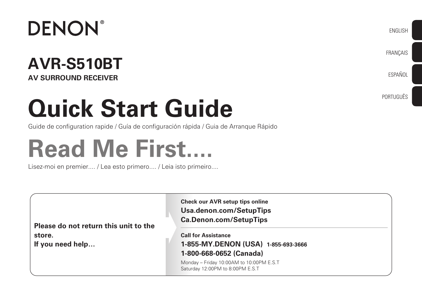

### **AVR-S510BT AV SURROUND RECEIVER**

# **Quick Start Guide**

Guide de configuration rapide / Guía de configuración rápida / Guia de Arranque Rápido

# **Read Me First....**

Lisez-moi en premier.... / Lea esto primero.... / Leia isto primeiro....

| Please do not return this unit to the<br>store.<br>If you need help | <b>Check our AVR setup tips online</b><br>Usa.denon.com/SetupTips<br><b>Ca.Denon.com/SetupTips</b><br><b>Call for Assistance</b><br>1-855-MY.DENON (USA) 1-855-693-3666 |
|---------------------------------------------------------------------|-------------------------------------------------------------------------------------------------------------------------------------------------------------------------|
|                                                                     | 1-800-668-0652 (Canada)                                                                                                                                                 |
|                                                                     | Monday - Friday 10:00AM to 10:00PM E.S.T<br>Saturday 12:00PM to 8:00PM E.S.T                                                                                            |

ENGLISH

**FRANCAIS** 

ESPAÑOL

PORTUGUÊS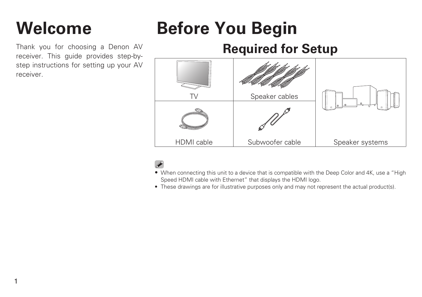# **Welcome Before You Begin**

Thank you for choosing a Denon AV receiver. This guide provides step-bystep instructions for setting up your AV receiver.

1

### **Required for Setup**

|            | Speaker cables  |                 |
|------------|-----------------|-----------------|
|            |                 |                 |
| HDMI cable | Subwoofer cable | Speaker systems |

- When connecting this unit to a device that is compatible with the Deep Color and 4K, use a "High Speed HDMI cable with Ethernet" that displays the HDMI logo.
- These drawings are for illustrative purposes only and may not represent the actual product(s).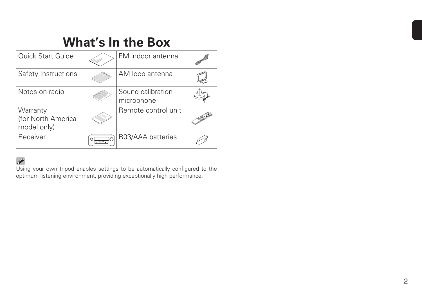#### **What's In the Box** Quick Start Guide **FM** indoor antenna Safety Instructions AM loop antenna Q Notes on radio  $\sim$  Sound calibration  $\bigoplus$ microphone Remote control unit **Warranty** (for North America model only) Receiver  $\sqrt{\overbrace{\mathcal{C}[\mathbf{m}:\mathbf{m}]}^{\mathcal{D}}}\bigg| \text{R03/AAA batteries}$  $\mathscr{B}$

#### $\overline{\mathscr{L}}$

Using your own tripod enables settings to be automatically configured to the optimum listening environment, providing exceptionally high performance.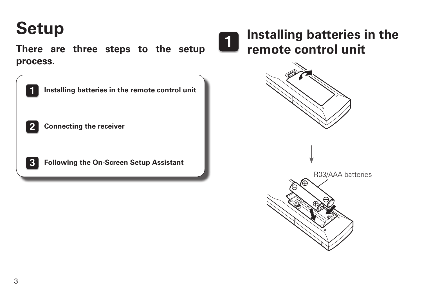# **Setup**

**There are three steps to the setup process.**

| 1            | Installing batteries in the remote control unit |
|--------------|-------------------------------------------------|
| $\mathbf{2}$ | <b>Connecting the receiver</b>                  |
| 3            | <b>Following the On-Screen Setup Assistant</b>  |



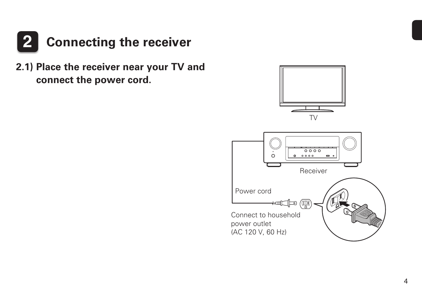

**2.1) Place the receiver near your TV and connect the power cord.**

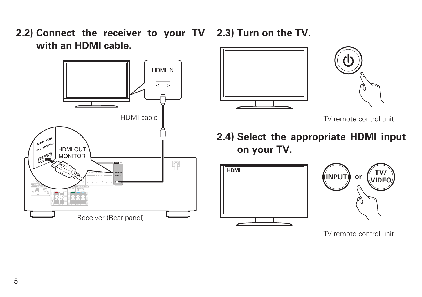**2.2) Connect the receiver to your TV 2.3) Turn on the TV. with an HDMI cable.**





TV remote control unit

**2.4) Select the appropriate HDMI input on your TV.**





TV remote control unit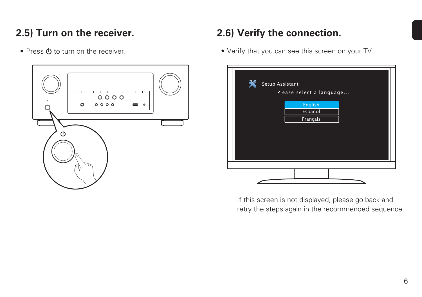#### **2.5) Turn on the receiver.**

• Press  $\Phi$  to turn on the receiver.



#### **2.6) Verify the connection.**

• Verify that you can see this screen on your TV.

| Setup Assistant | Please select a language       |  |
|-----------------|--------------------------------|--|
|                 | English<br>Español<br>Français |  |
|                 |                                |  |
|                 |                                |  |

If this screen is not displayed, please go back and retry the steps again in the recommended sequence.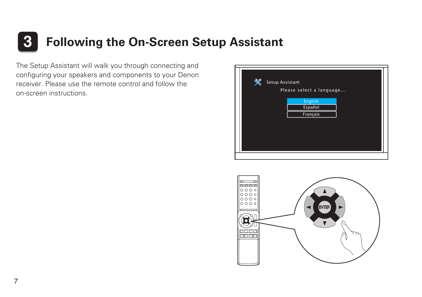# **3 Following the On-Screen Setup Assistant**

The Setup Assistant will walk you through connecting and configuring your speakers and components to your Denon receiver. Please use the remote control and follow the on-screen instructions.



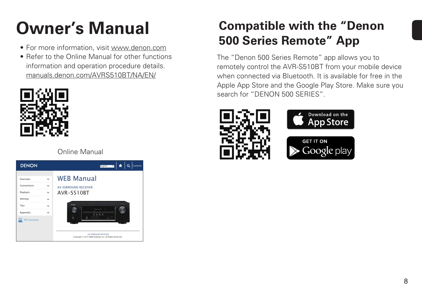# **Owner's Manual**

- For more information, visit [www.denon.com](http://www.denon.com/)
- Refer to the Online Manual for other functions information and operation procedure details. [manuals.denon.com/AVRS510BT/NA/EN/](http://manuals.denon.com/AVRS510BT/NA/EN/index.php
)



Online Manual



## **Compatible with the "Denon 500 Series Remote" App**

The "Denon 500 Series Remote" app allows you to remotely control the AVR-S510BT from your mobile device when connected via Bluetooth. It is available for free in the Apple App Store and the Google Play Store. Make sure you search for "DENON 500 SERIES".